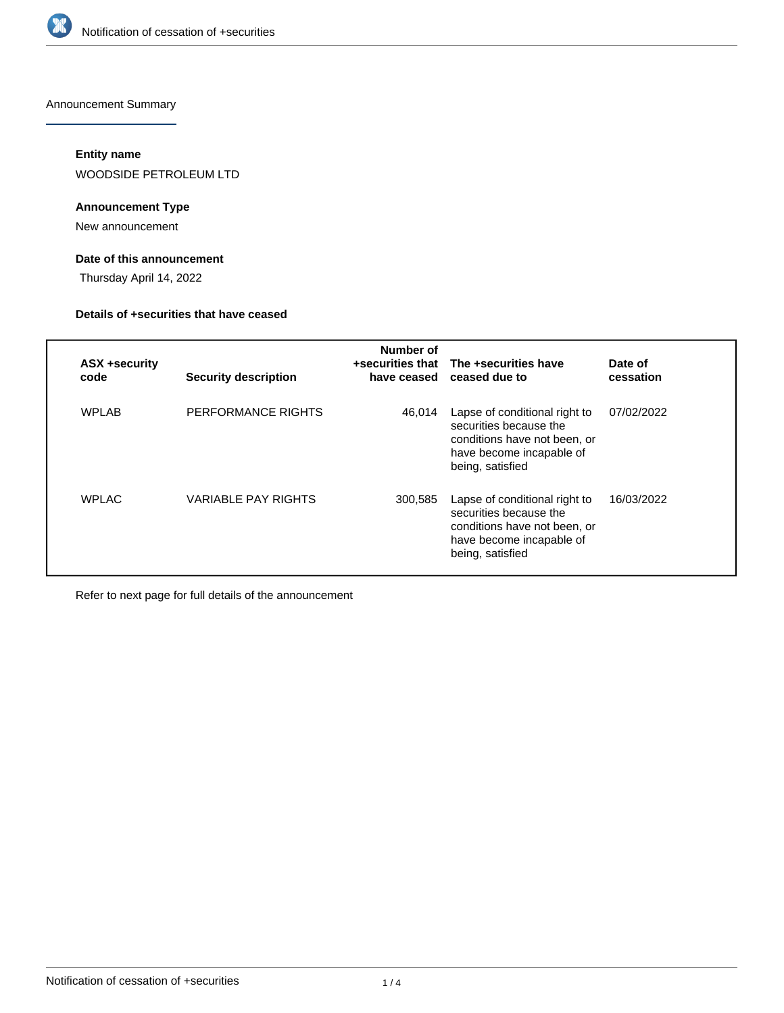

Announcement Summary

# **Entity name**

WOODSIDE PETROLEUM LTD

# **Announcement Type**

New announcement

# **Date of this announcement**

Thursday April 14, 2022

### **Details of +securities that have ceased**

| ASX +security<br>code | <b>Security description</b> | Number of<br>+securities that<br>have ceased | The +securities have<br>ceased due to                                                                                                   | Date of<br>cessation |
|-----------------------|-----------------------------|----------------------------------------------|-----------------------------------------------------------------------------------------------------------------------------------------|----------------------|
| WPLAB                 | PERFORMANCE RIGHTS          | 46,014                                       | Lapse of conditional right to<br>securities because the<br>conditions have not been, or<br>have become incapable of<br>being, satisfied | 07/02/2022           |
| <b>WPLAC</b>          | <b>VARIABLE PAY RIGHTS</b>  | 300,585                                      | Lapse of conditional right to<br>securities because the<br>conditions have not been, or<br>have become incapable of<br>being, satisfied | 16/03/2022           |

Refer to next page for full details of the announcement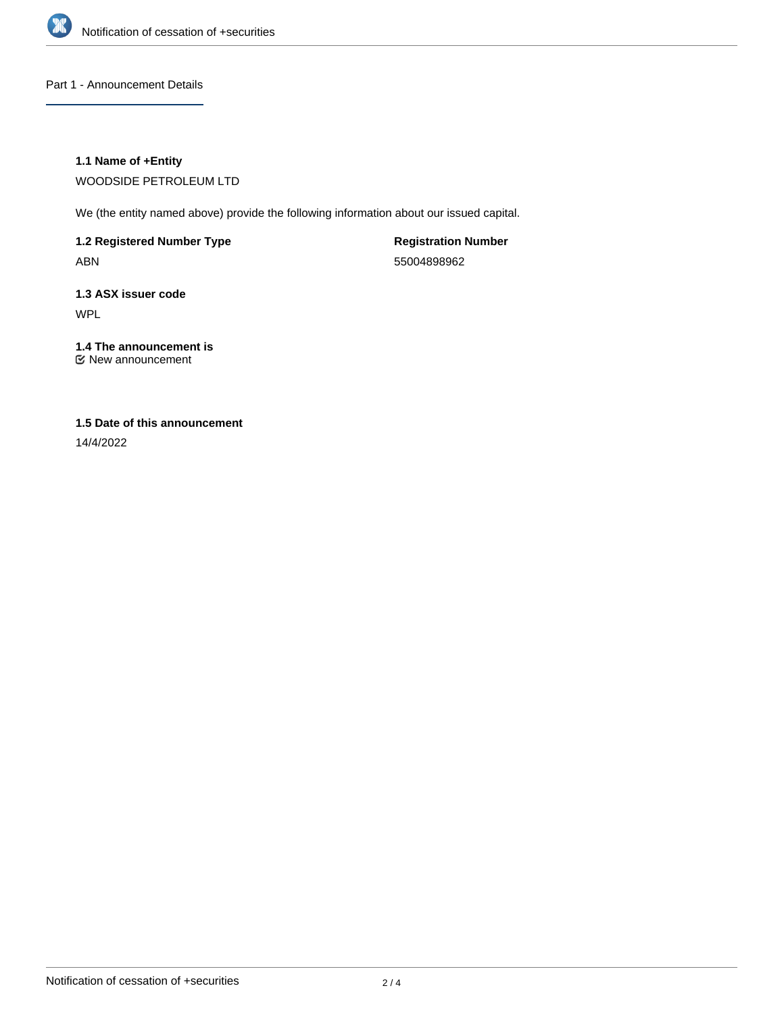

Part 1 - Announcement Details

# **1.1 Name of +Entity**

WOODSIDE PETROLEUM LTD

We (the entity named above) provide the following information about our issued capital.

**1.2 Registered Number Type** ABN

**Registration Number** 55004898962

**1.3 ASX issuer code** WPL

**1.4 The announcement is** New announcement

# **1.5 Date of this announcement**

14/4/2022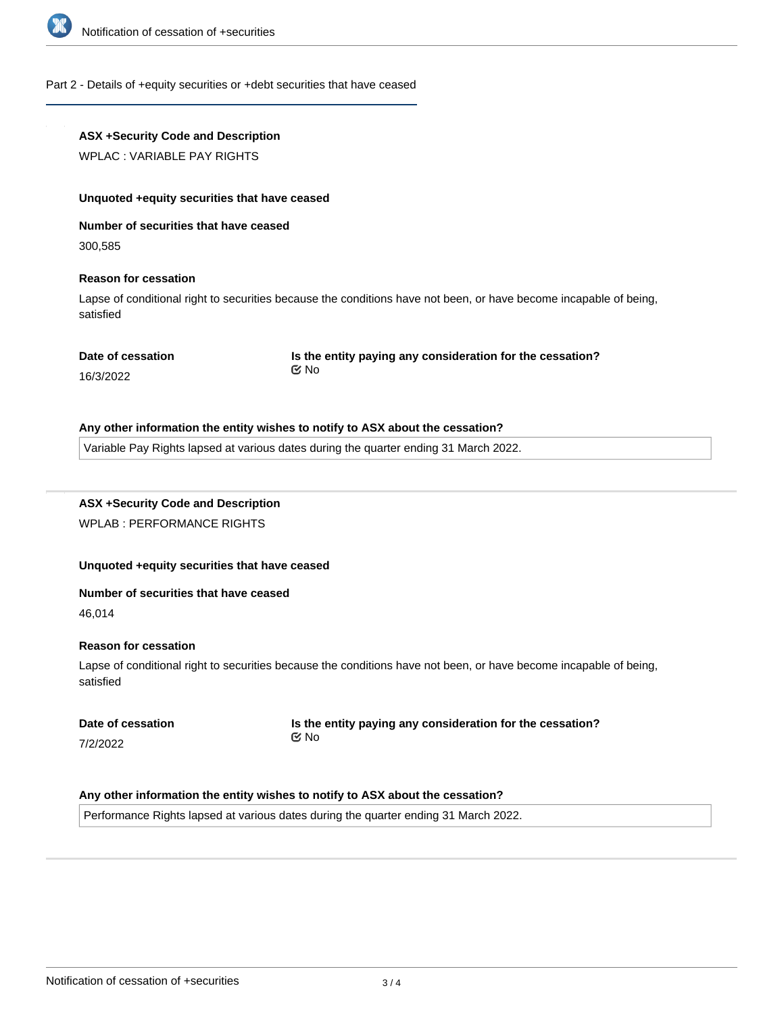

#### Part 2 - Details of +equity securities or +debt securities that have ceased

# **ASX +Security Code and Description**

WPLAC : VARIABLE PAY RIGHTS

#### **Unquoted +equity securities that have ceased**

**Number of securities that have ceased**

300,585

### **Reason for cessation**

Lapse of conditional right to securities because the conditions have not been, or have become incapable of being, satisfied

#### **Date of cessation**

**Is the entity paying any consideration for the cessation?** No

#### 16/3/2022

#### **Any other information the entity wishes to notify to ASX about the cessation?**

Variable Pay Rights lapsed at various dates during the quarter ending 31 March 2022.

# **ASX +Security Code and Description** WPLAB : PERFORMANCE RIGHTS

# **Unquoted +equity securities that have ceased**

#### **Number of securities that have ceased**

46,014

### **Reason for cessation**

Lapse of conditional right to securities because the conditions have not been, or have become incapable of being, satisfied

|  | Date of cessation |
|--|-------------------|
|  |                   |

7/2/2022

**Is the entity paying any consideration for the cessation?** No

# **Any other information the entity wishes to notify to ASX about the cessation?**

Performance Rights lapsed at various dates during the quarter ending 31 March 2022.